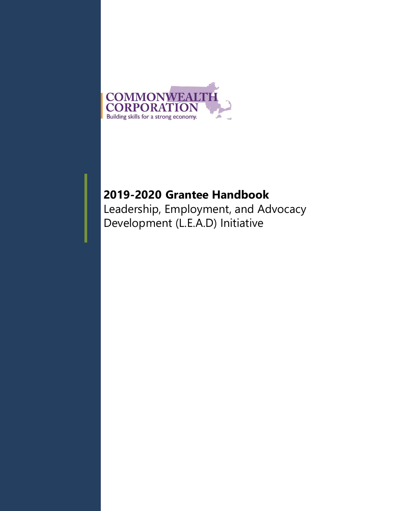

# **2019-2020 Grantee Handbook**

Leadership, Employment, and Advocacy Development (L.E.A.D) Initiative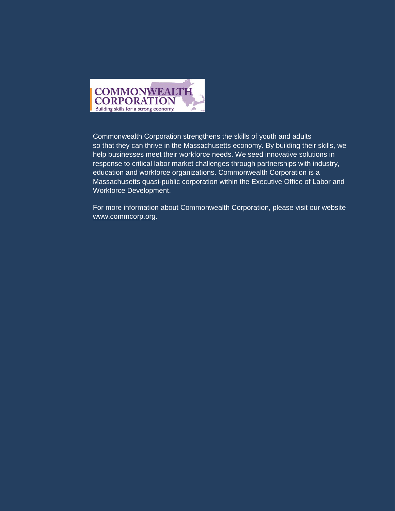

Commonwealth Corporation strengthens the skills of youth and adults so that they can thrive in the Massachusetts economy. By building their skills, we help businesses meet their workforce needs. We seed innovative solutions in response to critical labor market challenges through partnerships with industry, education and workforce organizations. Commonwealth Corporation is a Massachusetts quasi-public corporation within the Executive Office of Labor and Workforce Development.

For more information about Commonwealth Corporation, please visit our website [www.commcorp.org.](http://www.commcorp.org/)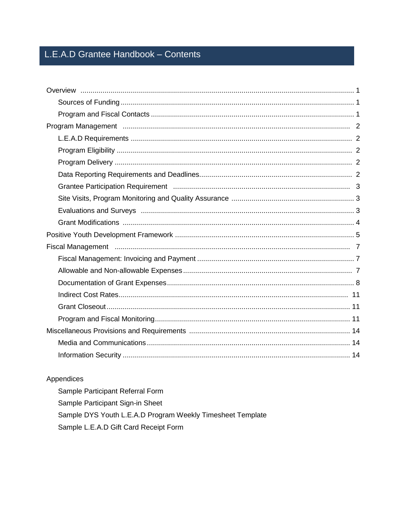# L.E.A.D Grantee Handbook - Contents

### Appendices

Sample Participant Referral Form Sample Participant Sign-in Sheet Sample DYS Youth L.E.A.D Program Weekly Timesheet Template Sample L.E.A.D Gift Card Receipt Form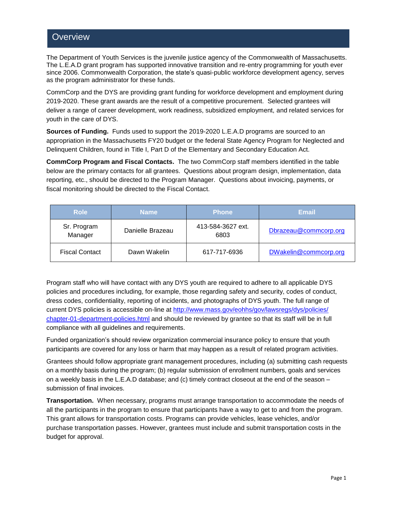### **Overview**

The Department of Youth Services is the juvenile justice agency of the Commonwealth of Massachusetts. The L.E.A.D grant program has supported innovative transition and re-entry programming for youth ever since 2006. Commonwealth Corporation, the state's quasi-public workforce development agency, serves as the program administrator for these funds.

CommCorp and the DYS are providing grant funding for workforce development and employment during 2019-2020. These grant awards are the result of a competitive procurement. Selected grantees will deliver a range of career development, work readiness, subsidized employment, and related services for youth in the care of DYS.

**Sources of Funding.** Funds used to support the 2019-2020 L.E.A.D programs are sourced to an appropriation in the Massachusetts FY20 budget or the federal State Agency Program for Neglected and Delinquent Children, found in Title I, Part D of the Elementary and Secondary Education Act.

**CommCorp Program and Fiscal Contacts.** The two CommCorp staff members identified in the table below are the primary contacts for all grantees. Questions about program design, implementation, data reporting, etc., should be directed to the Program Manager. Questions about invoicing, payments, or fiscal monitoring should be directed to the Fiscal Contact.

| <b>Role</b>            | <b>Name</b>      | <b>Phone</b>              | <b>Email</b>          |  |
|------------------------|------------------|---------------------------|-----------------------|--|
| Sr. Program<br>Manager | Danielle Brazeau | 413-584-3627 ext.<br>6803 | Dbrazeau@commcorp.org |  |
| <b>Fiscal Contact</b>  | Dawn Wakelin     |                           | DWakelin@commcorp.org |  |

Program staff who will have contact with any DYS youth are required to adhere to all applicable DYS policies and procedures including, for example, those regarding safety and security, codes of conduct, dress codes, confidentiality, reporting of incidents, and photographs of DYS youth. The full range of current DYS policies is accessible on-line at [http://www.mass.gov/eohhs/gov/lawsregs/dys/policies/](http://www.mass.gov/eohhs/gov/lawsregs/dys/policies/%20chapter-01-department-policies.html)  [chapter-01-department-policies.html](http://www.mass.gov/eohhs/gov/lawsregs/dys/policies/%20chapter-01-department-policies.html) and should be reviewed by grantee so that its staff will be in full compliance with all guidelines and requirements.

Funded organization's should review organization commercial insurance policy to ensure that youth participants are covered for any loss or harm that may happen as a result of related program activities.

Grantees should follow appropriate grant management procedures, including (a) submitting cash requests on a monthly basis during the program; (b) regular submission of enrollment numbers, goals and services on a weekly basis in the L.E.A.D database; and (c) timely contract closeout at the end of the season – submission of final invoices.

**Transportation.** When necessary, programs must arrange transportation to accommodate the needs of all the participants in the program to ensure that participants have a way to get to and from the program. This grant allows for transportation costs. Programs can provide vehicles, lease vehicles, and/or purchase transportation passes. However, grantees must include and submit transportation costs in the budget for approval.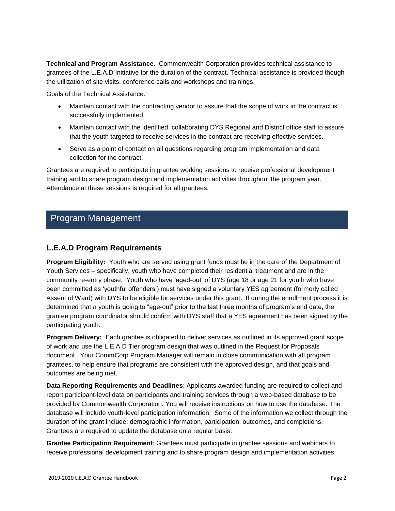**Technical and Program Assistance.** Commonwealth Corporation provides technical assistance to grantees of the L.E.A.D Initiative for the duration of the contract. Technical assistance is provided though the utilization of site visits, conference calls and workshops and trainings.

Goals of the Technical Assistance:

- Maintain contact with the contracting vendor to assure that the scope of work in the contract is successfully implemented.
- Maintain contact with the identified, collaborating DYS Regional and District office staff to assure that the youth targeted to receive services in the contract are receiving effective services.
- Serve as a point of contact on all questions regarding program implementation and data collection for the contract.

Grantees are required to participate in grantee working sessions to receive professional development training and to share program design and implementation activities throughout the program year. Attendance at these sessions is required for all grantees.

## Program Management

#### **L.E.A.D Program Requirements**

**Program Eligibility:** Youth who are served using grant funds must be in the care of the Department of Youth Services – specifically, youth who have completed their residential treatment and are in the community re-entry phase. Youth who have 'aged-out' of DYS (age 18 or age 21 for youth who have been committed as 'youthful offenders') must have signed a voluntary YES agreement (formerly called Assent of Ward) with DYS to be eligible for services under this grant. If during the enrollment process it is determined that a youth is going to "age-out" prior to the last three months of program's end date, the grantee program coordinator should confirm with DYS staff that a YES agreement has been signed by the participating youth.

**Program Delivery:** Each grantee is obligated to deliver services as outlined in its approved grant scope of work and use the L.E.A.D Tier program design that was outlined in the Request for Proposals document. Your CommCorp Program Manager will remain in close communication with all program grantees, to help ensure that programs are consistent with the approved design, and that goals and outcomes are being met.

**Data Reporting Requirements and Deadlines**: Applicants awarded funding are required to collect and report participant-level data on participants and training services through a web-based database to be provided by Commonwealth Corporation. You will receive instructions on how to use the database. The database will include youth-level participation information. Some of the information we collect through the duration of the grant include: demographic information, participation, outcomes, and completions. Grantees are required to update the database on a regular basis.

**Grantee Participation Requirement**: Grantees must participate in grantee sessions and webinars to receive professional development training and to share program design and implementation activities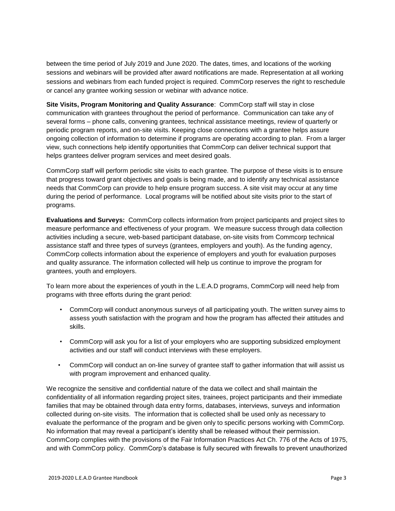between the time period of July 2019 and June 2020. The dates, times, and locations of the working sessions and webinars will be provided after award notifications are made. Representation at all working sessions and webinars from each funded project is required. CommCorp reserves the right to reschedule or cancel any grantee working session or webinar with advance notice.

**Site Visits, Program Monitoring and Quality Assurance**: CommCorp staff will stay in close communication with grantees throughout the period of performance. Communication can take any of several forms – phone calls, convening grantees, technical assistance meetings, review of quarterly or periodic program reports, and on-site visits. Keeping close connections with a grantee helps assure ongoing collection of information to determine if programs are operating according to plan. From a larger view, such connections help identify opportunities that CommCorp can deliver technical support that helps grantees deliver program services and meet desired goals.

CommCorp staff will perform periodic site visits to each grantee. The purpose of these visits is to ensure that progress toward grant objectives and goals is being made, and to identify any technical assistance needs that CommCorp can provide to help ensure program success. A site visit may occur at any time during the period of performance. Local programs will be notified about site visits prior to the start of programs.

**Evaluations and Surveys:** CommCorp collects information from project participants and project sites to measure performance and effectiveness of your program. We measure success through data collection activities including a secure, web-based participant database, on-site visits from Commcorp technical assistance staff and three types of surveys (grantees, employers and youth). As the funding agency, CommCorp collects information about the experience of employers and youth for evaluation purposes and quality assurance. The information collected will help us continue to improve the program for grantees, youth and employers.

To learn more about the experiences of youth in the L.E.A.D programs, CommCorp will need help from programs with three efforts during the grant period:

- CommCorp will conduct anonymous surveys of all participating youth. The written survey aims to assess youth satisfaction with the program and how the program has affected their attitudes and skills.
- CommCorp will ask you for a list of your employers who are supporting subsidized employment activities and our staff will conduct interviews with these employers.
- CommCorp will conduct an on-line survey of grantee staff to gather information that will assist us with program improvement and enhanced quality.

We recognize the sensitive and confidential nature of the data we collect and shall maintain the confidentiality of all information regarding project sites, trainees, project participants and their immediate families that may be obtained through data entry forms, databases, interviews, surveys and information collected during on-site visits. The information that is collected shall be used only as necessary to evaluate the performance of the program and be given only to specific persons working with CommCorp. No information that may reveal a participant's identity shall be released without their permission. CommCorp complies with the provisions of the Fair Information Practices Act Ch. 776 of the Acts of 1975, and with CommCorp policy. CommCorp's database is fully secured with firewalls to prevent unauthorized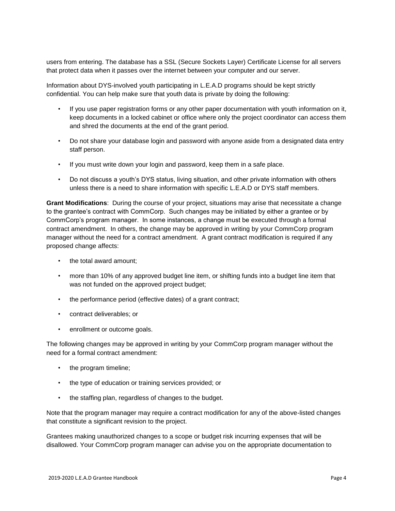users from entering. The database has a SSL (Secure Sockets Layer) Certificate License for all servers that protect data when it passes over the internet between your computer and our server.

Information about DYS-involved youth participating in L.E.A.D programs should be kept strictly confidential. You can help make sure that youth data is private by doing the following:

- If you use paper registration forms or any other paper documentation with youth information on it, keep documents in a locked cabinet or office where only the project coordinator can access them and shred the documents at the end of the grant period.
- Do not share your database login and password with anyone aside from a designated data entry staff person.
- If you must write down your login and password, keep them in a safe place.
- Do not discuss a youth's DYS status, living situation, and other private information with others unless there is a need to share information with specific L.E.A.D or DYS staff members.

**Grant Modifications**: During the course of your project, situations may arise that necessitate a change to the grantee's contract with CommCorp. Such changes may be initiated by either a grantee or by CommCorp's program manager. In some instances, a change must be executed through a formal contract amendment. In others, the change may be approved in writing by your CommCorp program manager without the need for a contract amendment. A grant contract modification is required if any proposed change affects:

- the total award amount;
- more than 10% of any approved budget line item, or shifting funds into a budget line item that was not funded on the approved project budget;
- the performance period (effective dates) of a grant contract;
- contract deliverables; or
- enrollment or outcome goals.

The following changes may be approved in writing by your CommCorp program manager without the need for a formal contract amendment:

- the program timeline;
- the type of education or training services provided; or
- the staffing plan, regardless of changes to the budget.

Note that the program manager may require a contract modification for any of the above-listed changes that constitute a significant revision to the project.

Grantees making unauthorized changes to a scope or budget risk incurring expenses that will be disallowed. Your CommCorp program manager can advise you on the appropriate documentation to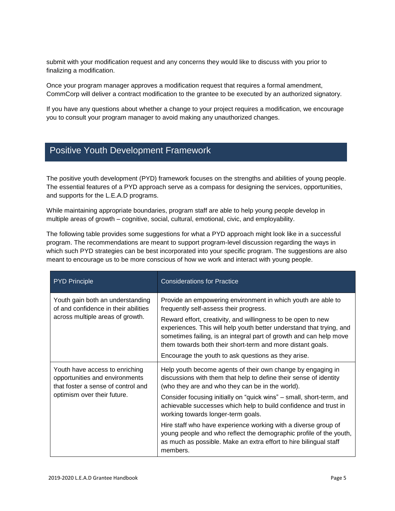submit with your modification request and any concerns they would like to discuss with you prior to finalizing a modification.

Once your program manager approves a modification request that requires a formal amendment, CommCorp will deliver a contract modification to the grantee to be executed by an authorized signatory.

If you have any questions about whether a change to your project requires a modification, we encourage you to consult your program manager to avoid making any unauthorized changes.

## Positive Youth Development Framework

The positive youth development (PYD) framework focuses on the strengths and abilities of young people. The essential features of a PYD approach serve as a compass for designing the services, opportunities, and supports for the L.E.A.D programs.

While maintaining appropriate boundaries, program staff are able to help young people develop in multiple areas of growth – cognitive, social, cultural, emotional, civic, and employability.

The following table provides some suggestions for what a PYD approach might look like in a successful program. The recommendations are meant to support program-level discussion regarding the ways in which such PYD strategies can be best incorporated into your specific program. The suggestions are also meant to encourage us to be more conscious of how we work and interact with young people.

| <b>PYD Principle</b>                                                                                                                  | <b>Considerations for Practice</b>                                                                                                                                                                                                                                                                                                                                                                                                                                                                                                                                                              |  |
|---------------------------------------------------------------------------------------------------------------------------------------|-------------------------------------------------------------------------------------------------------------------------------------------------------------------------------------------------------------------------------------------------------------------------------------------------------------------------------------------------------------------------------------------------------------------------------------------------------------------------------------------------------------------------------------------------------------------------------------------------|--|
| Youth gain both an understanding<br>of and confidence in their abilities<br>across multiple areas of growth.                          | Provide an empowering environment in which youth are able to<br>frequently self-assess their progress.<br>Reward effort, creativity, and willingness to be open to new<br>experiences. This will help youth better understand that trying, and<br>sometimes failing, is an integral part of growth and can help move<br>them towards both their short-term and more distant goals.<br>Encourage the youth to ask questions as they arise.                                                                                                                                                       |  |
| Youth have access to enriching<br>opportunities and environments<br>that foster a sense of control and<br>optimism over their future. | Help youth become agents of their own change by engaging in<br>discussions with them that help to define their sense of identity<br>(who they are and who they can be in the world).<br>Consider focusing initially on "quick wins" – small, short-term, and<br>achievable successes which help to build confidence and trust in<br>working towards longer-term goals.<br>Hire staff who have experience working with a diverse group of<br>young people and who reflect the demographic profile of the youth,<br>as much as possible. Make an extra effort to hire bilingual staff<br>members. |  |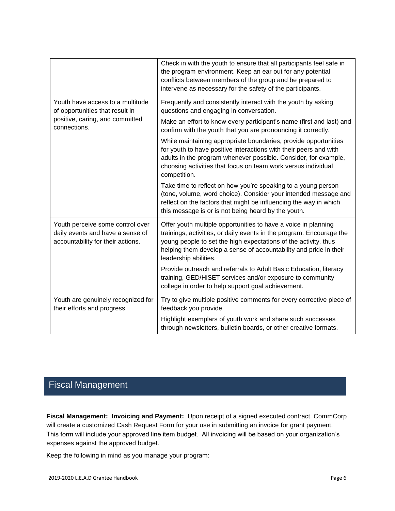|                                                                                                           | Check in with the youth to ensure that all participants feel safe in<br>the program environment. Keep an ear out for any potential<br>conflicts between members of the group and be prepared to<br>intervene as necessary for the safety of the participants.                                           |  |  |
|-----------------------------------------------------------------------------------------------------------|---------------------------------------------------------------------------------------------------------------------------------------------------------------------------------------------------------------------------------------------------------------------------------------------------------|--|--|
| Youth have access to a multitude<br>of opportunities that result in                                       | Frequently and consistently interact with the youth by asking<br>questions and engaging in conversation.                                                                                                                                                                                                |  |  |
| positive, caring, and committed<br>connections.                                                           | Make an effort to know every participant's name (first and last) and<br>confirm with the youth that you are pronouncing it correctly.                                                                                                                                                                   |  |  |
|                                                                                                           | While maintaining appropriate boundaries, provide opportunities<br>for youth to have positive interactions with their peers and with<br>adults in the program whenever possible. Consider, for example,<br>choosing activities that focus on team work versus individual<br>competition.                |  |  |
|                                                                                                           | Take time to reflect on how you're speaking to a young person<br>(tone, volume, word choice). Consider your intended message and<br>reflect on the factors that might be influencing the way in which<br>this message is or is not being heard by the youth.                                            |  |  |
| Youth perceive some control over<br>daily events and have a sense of<br>accountability for their actions. | Offer youth multiple opportunities to have a voice in planning<br>trainings, activities, or daily events in the program. Encourage the<br>young people to set the high expectations of the activity, thus<br>helping them develop a sense of accountability and pride in their<br>leadership abilities. |  |  |
|                                                                                                           | Provide outreach and referrals to Adult Basic Education, literacy<br>training, GED/HiSET services and/or exposure to community<br>college in order to help support goal achievement.                                                                                                                    |  |  |
| Youth are genuinely recognized for<br>their efforts and progress.                                         | Try to give multiple positive comments for every corrective piece of<br>feedback you provide.                                                                                                                                                                                                           |  |  |
|                                                                                                           | Highlight exemplars of youth work and share such successes<br>through newsletters, bulletin boards, or other creative formats.                                                                                                                                                                          |  |  |

# Fiscal Management

**Fiscal Management: Invoicing and Payment:** Upon receipt of a signed executed contract, CommCorp will create a customized Cash Request Form for your use in submitting an invoice for grant payment. This form will include your approved line item budget. All invoicing will be based on your organization's expenses against the approved budget.

Keep the following in mind as you manage your program: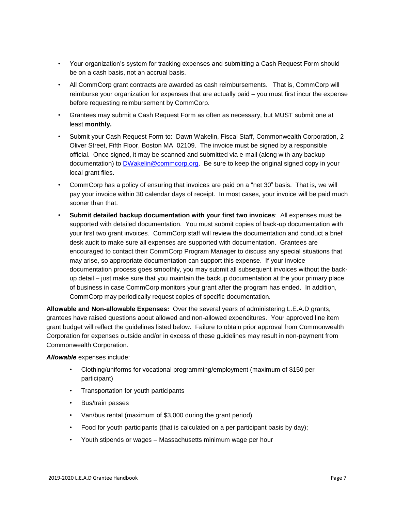- Your organization's system for tracking expenses and submitting a Cash Request Form should be on a cash basis, not an accrual basis.
- All CommCorp grant contracts are awarded as cash reimbursements. That is, CommCorp will reimburse your organization for expenses that are actually paid – you must first incur the expense before requesting reimbursement by CommCorp.
- Grantees may submit a Cash Request Form as often as necessary, but MUST submit one at least **monthly.**
- Submit your Cash Request Form to: Dawn Wakelin, Fiscal Staff, Commonwealth Corporation, 2 Oliver Street, Fifth Floor, Boston MA 02109. The invoice must be signed by a responsible official. Once signed, it may be scanned and submitted via e-mail (along with any backup documentation) to [DWakelin@commcorp.org.](mailto:DWakelin@commcorp.org) Be sure to keep the original signed copy in your local grant files.
- CommCorp has a policy of ensuring that invoices are paid on a "net 30" basis. That is, we will pay your invoice within 30 calendar days of receipt. In most cases, your invoice will be paid much sooner than that.
- **Submit detailed backup documentation with your first two invoices**: All expenses must be supported with detailed documentation. You must submit copies of back-up documentation with your first two grant invoices. CommCorp staff will review the documentation and conduct a brief desk audit to make sure all expenses are supported with documentation. Grantees are encouraged to contact their CommCorp Program Manager to discuss any special situations that may arise, so appropriate documentation can support this expense. If your invoice documentation process goes smoothly, you may submit all subsequent invoices without the backup detail – just make sure that you maintain the backup documentation at the your primary place of business in case CommCorp monitors your grant after the program has ended. In addition, CommCorp may periodically request copies of specific documentation.

**Allowable and Non-allowable Expenses:** Over the several years of administering L.E.A.D grants, grantees have raised questions about allowed and non-allowed expenditures. Your approved line item grant budget will reflect the guidelines listed below. Failure to obtain prior approval from Commonwealth Corporation for expenses outside and/or in excess of these guidelines may result in non-payment from Commonwealth Corporation.

#### *Allowable* expenses include:

- Clothing/uniforms for vocational programming/employment (maximum of \$150 per participant)
- Transportation for youth participants
- Bus/train passes
- Van/bus rental (maximum of \$3,000 during the grant period)
- Food for youth participants (that is calculated on a per participant basis by day);
- Youth stipends or wages Massachusetts minimum wage per hour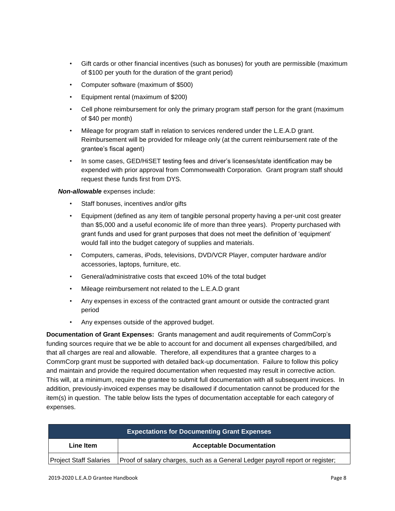- Gift cards or other financial incentives (such as bonuses) for youth are permissible (maximum of \$100 per youth for the duration of the grant period)
- Computer software (maximum of \$500)
- Equipment rental (maximum of \$200)
- Cell phone reimbursement for only the primary program staff person for the grant (maximum of \$40 per month)
- Mileage for program staff in relation to services rendered under the L.E.A.D grant. Reimbursement will be provided for mileage only (at the current reimbursement rate of the grantee's fiscal agent)
- In some cases, GED/HiSET testing fees and driver's licenses/state identification may be expended with prior approval from Commonwealth Corporation. Grant program staff should request these funds first from DYS.

*Non-allowable* expenses include:

- Staff bonuses, incentives and/or gifts
- Equipment (defined as any item of tangible personal property having a per-unit cost greater than \$5,000 and a useful economic life of more than three years). Property purchased with grant funds and used for grant purposes that does not meet the definition of 'equipment' would fall into the budget category of supplies and materials.
- Computers, cameras, iPods, televisions, DVD/VCR Player, computer hardware and/or accessories, laptops, furniture, etc.
- General/administrative costs that exceed 10% of the total budget
- Mileage reimbursement not related to the L.E.A.D grant
- Any expenses in excess of the contracted grant amount or outside the contracted grant period
- Any expenses outside of the approved budget.

**Documentation of Grant Expenses:** Grants management and audit requirements of CommCorp's funding sources require that we be able to account for and document all expenses charged/billed, and that all charges are real and allowable. Therefore, all expenditures that a grantee charges to a CommCorp grant must be supported with detailed back-up documentation. Failure to follow this policy and maintain and provide the required documentation when requested may result in corrective action. This will, at a minimum, require the grantee to submit full documentation with all subsequent invoices. In addition, previously-invoiced expenses may be disallowed if documentation cannot be produced for the item(s) in question. The table below lists the types of documentation acceptable for each category of expenses.

| <b>Expectations for Documenting Grant Expenses</b> |                                                                               |  |  |
|----------------------------------------------------|-------------------------------------------------------------------------------|--|--|
| Line Item                                          | <b>Acceptable Documentation</b>                                               |  |  |
| <b>Project Staff Salaries</b>                      | Proof of salary charges, such as a General Ledger payroll report or register; |  |  |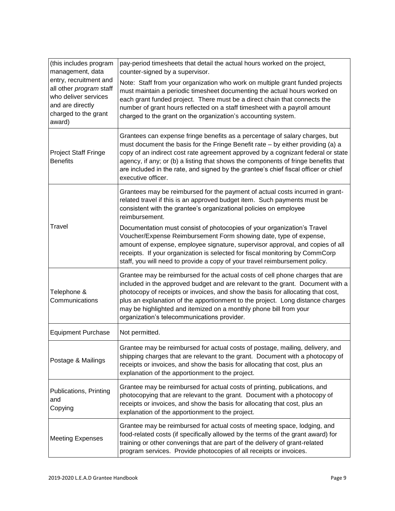| (this includes program<br>management, data                                                                                      | pay-period timesheets that detail the actual hours worked on the project,<br>counter-signed by a supervisor.                                                                                                                                                                                                                                                                                                                                             |
|---------------------------------------------------------------------------------------------------------------------------------|----------------------------------------------------------------------------------------------------------------------------------------------------------------------------------------------------------------------------------------------------------------------------------------------------------------------------------------------------------------------------------------------------------------------------------------------------------|
| entry, recruitment and<br>all other program staff<br>who deliver services<br>and are directly<br>charged to the grant<br>award) | Note: Staff from your organization who work on multiple grant funded projects<br>must maintain a periodic timesheet documenting the actual hours worked on<br>each grant funded project. There must be a direct chain that connects the<br>number of grant hours reflected on a staff timesheet with a payroll amount<br>charged to the grant on the organization's accounting system.                                                                   |
| <b>Project Staff Fringe</b><br><b>Benefits</b>                                                                                  | Grantees can expense fringe benefits as a percentage of salary charges, but<br>must document the basis for the Fringe Benefit rate - by either providing (a) a<br>copy of an indirect cost rate agreement approved by a cognizant federal or state<br>agency, if any; or (b) a listing that shows the components of fringe benefits that<br>are included in the rate, and signed by the grantee's chief fiscal officer or chief<br>executive officer.    |
|                                                                                                                                 | Grantees may be reimbursed for the payment of actual costs incurred in grant-<br>related travel if this is an approved budget item. Such payments must be<br>consistent with the grantee's organizational policies on employee<br>reimbursement.                                                                                                                                                                                                         |
| Travel                                                                                                                          | Documentation must consist of photocopies of your organization's Travel<br>Voucher/Expense Reimbursement Form showing date, type of expense,<br>amount of expense, employee signature, supervisor approval, and copies of all<br>receipts. If your organization is selected for fiscal monitoring by CommCorp<br>staff, you will need to provide a copy of your travel reimbursement policy.                                                             |
| Telephone &<br>Communications                                                                                                   | Grantee may be reimbursed for the actual costs of cell phone charges that are<br>included in the approved budget and are relevant to the grant. Document with a<br>photocopy of receipts or invoices, and show the basis for allocating that cost,<br>plus an explanation of the apportionment to the project. Long distance charges<br>may be highlighted and itemized on a monthly phone bill from your<br>organization's telecommunications provider. |
| <b>Equipment Purchase</b>                                                                                                       | Not permitted.                                                                                                                                                                                                                                                                                                                                                                                                                                           |
| Postage & Mailings                                                                                                              | Grantee may be reimbursed for actual costs of postage, mailing, delivery, and<br>shipping charges that are relevant to the grant. Document with a photocopy of<br>receipts or invoices, and show the basis for allocating that cost, plus an<br>explanation of the apportionment to the project.                                                                                                                                                         |
| Publications, Printing<br>and<br>Copying                                                                                        | Grantee may be reimbursed for actual costs of printing, publications, and<br>photocopying that are relevant to the grant. Document with a photocopy of<br>receipts or invoices, and show the basis for allocating that cost, plus an<br>explanation of the apportionment to the project.                                                                                                                                                                 |
| <b>Meeting Expenses</b>                                                                                                         | Grantee may be reimbursed for actual costs of meeting space, lodging, and<br>food-related costs (if specifically allowed by the terms of the grant award) for<br>training or other convenings that are part of the delivery of grant-related<br>program services. Provide photocopies of all receipts or invoices.                                                                                                                                       |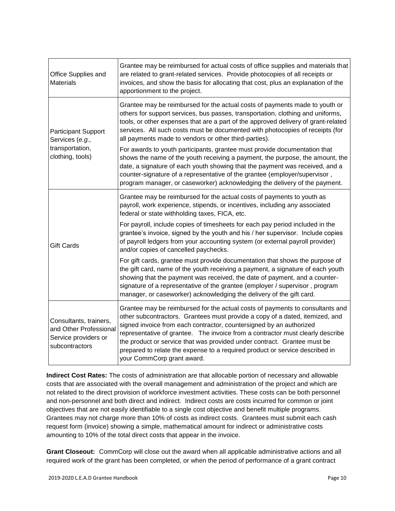| Office Supplies and<br><b>Materials</b>                                                    | Grantee may be reimbursed for actual costs of office supplies and materials that<br>are related to grant-related services. Provide photocopies of all receipts or<br>invoices, and show the basis for allocating that cost, plus an explanation of the<br>apportionment to the project.                                                                                                                                                                                                                          |  |  |  |
|--------------------------------------------------------------------------------------------|------------------------------------------------------------------------------------------------------------------------------------------------------------------------------------------------------------------------------------------------------------------------------------------------------------------------------------------------------------------------------------------------------------------------------------------------------------------------------------------------------------------|--|--|--|
| <b>Participant Support</b><br>Services (e.g.,                                              | Grantee may be reimbursed for the actual costs of payments made to youth or<br>others for support services, bus passes, transportation, clothing and uniforms,<br>tools, or other expenses that are a part of the approved delivery of grant-related<br>services. All such costs must be documented with photocopies of receipts (for<br>all payments made to vendors or other third-parties).                                                                                                                   |  |  |  |
| transportation,<br>clothing, tools)                                                        | For awards to youth participants, grantee must provide documentation that<br>shows the name of the youth receiving a payment, the purpose, the amount, the<br>date, a signature of each youth showing that the payment was received, and a<br>counter-signature of a representative of the grantee (employer/supervisor,<br>program manager, or caseworker) acknowledging the delivery of the payment.                                                                                                           |  |  |  |
|                                                                                            | Grantee may be reimbursed for the actual costs of payments to youth as<br>payroll, work experience, stipends, or incentives, including any associated<br>federal or state withholding taxes, FICA, etc.                                                                                                                                                                                                                                                                                                          |  |  |  |
| <b>Gift Cards</b>                                                                          | For payroll, include copies of timesheets for each pay period included in the<br>grantee's invoice, signed by the youth and his / her supervisor. Include copies<br>of payroll ledgers from your accounting system (or external payroll provider)<br>and/or copies of cancelled paychecks.                                                                                                                                                                                                                       |  |  |  |
|                                                                                            | For gift cards, grantee must provide documentation that shows the purpose of<br>the gift card, name of the youth receiving a payment, a signature of each youth<br>showing that the payment was received, the date of payment, and a counter-<br>signature of a representative of the grantee (employer / supervisor, program<br>manager, or caseworker) acknowledging the delivery of the gift card.                                                                                                            |  |  |  |
| Consultants, trainers,<br>and Other Professional<br>Service providers or<br>subcontractors | Grantee may be reimbursed for the actual costs of payments to consultants and<br>other subcontractors. Grantees must provide a copy of a dated, itemized, and<br>signed invoice from each contractor, countersigned by an authorized<br>representative of grantee. The invoice from a contractor must clearly describe<br>the product or service that was provided under contract. Grantee must be<br>prepared to relate the expense to a required product or service described in<br>your CommCorp grant award. |  |  |  |

**Indirect Cost Rates:** The costs of administration are that allocable portion of necessary and allowable costs that are associated with the overall management and administration of the project and which are not related to the direct provision of workforce investment activities. These costs can be both personnel and non-personnel and both direct and indirect. Indirect costs are costs incurred for common or joint objectives that are not easily identifiable to a single cost objective and benefit multiple programs. Grantees may not charge more than 10% of costs as indirect costs. Grantees must submit each cash request form (invoice) showing a simple, mathematical amount for indirect or administrative costs amounting to 10% of the total direct costs that appear in the invoice.

**Grant Closeout:** CommCorp will close out the award when all applicable administrative actions and all required work of the grant has been completed, or when the period of performance of a grant contract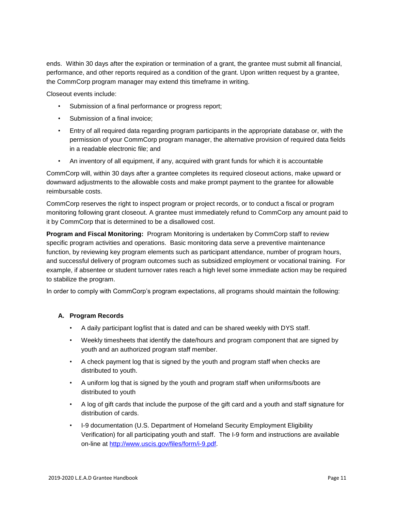ends.Within 30 days after the expiration or termination of a grant, the grantee must submit all financial, performance, and other reports required as a condition of the grant. Upon written request by a grantee, the CommCorp program manager may extend this timeframe in writing.

Closeout events include:

- Submission of a final performance or progress report;
- Submission of a final invoice;
- Entry of all required data regarding program participants in the appropriate database or, with the permission of your CommCorp program manager, the alternative provision of required data fields in a readable electronic file; and
- An inventory of all equipment, if any, acquired with grant funds for which it is accountable

CommCorp will, within 30 days after a grantee completes its required closeout actions, make upward or downward adjustments to the allowable costs and make prompt payment to the grantee for allowable reimbursable costs.

CommCorp reserves the right to inspect program or project records, or to conduct a fiscal or program monitoring following grant closeout. A grantee must immediately refund to CommCorp any amount paid to it by CommCorp that is determined to be a disallowed cost.

**Program and Fiscal Monitoring:** Program Monitoring is undertaken by CommCorp staff to review specific program activities and operations.Basic monitoring data serve a preventive maintenance function, by reviewing key program elements such as participant attendance, number of program hours, and successful delivery of program outcomes such as subsidized employment or vocational training. For example, if absentee or student turnover rates reach a high level some immediate action may be required to stabilize the program.

In order to comply with CommCorp's program expectations, all programs should maintain the following:

#### **A. Program Records**

- A daily participant log/list that is dated and can be shared weekly with DYS staff.
- Weekly timesheets that identify the date/hours and program component that are signed by youth and an authorized program staff member.
- A check payment log that is signed by the youth and program staff when checks are distributed to youth.
- A uniform log that is signed by the youth and program staff when uniforms/boots are distributed to youth
- A log of gift cards that include the purpose of the gift card and a youth and staff signature for distribution of cards.
- I-9 documentation (U.S. Department of Homeland Security Employment Eligibility Verification) for all participating youth and staff. The I-9 form and instructions are available on-line at [http://www.uscis.gov/files/form/i-9.pdf.](http://www.uscis.gov/files/form/i-9.pdf)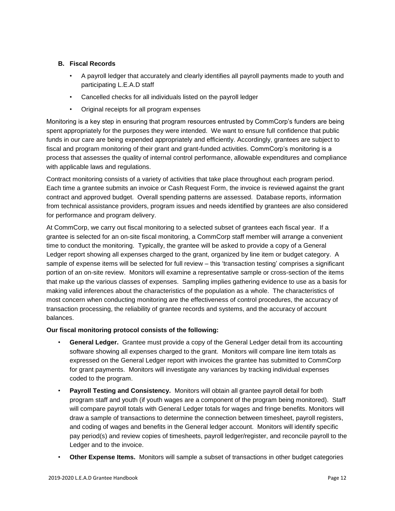#### **B. Fiscal Records**

- A payroll ledger that accurately and clearly identifies all payroll payments made to youth and participating L.E.A.D staff
- Cancelled checks for all individuals listed on the payroll ledger
- Original receipts for all program expenses

Monitoring is a key step in ensuring that program resources entrusted by CommCorp's funders are being spent appropriately for the purposes they were intended. We want to ensure full confidence that public funds in our care are being expended appropriately and efficiently. Accordingly, grantees are subject to fiscal and program monitoring of their grant and grant-funded activities. CommCorp's monitoring is a process that assesses the quality of internal control performance, allowable expenditures and compliance with applicable laws and regulations.

Contract monitoring consists of a variety of activities that take place throughout each program period. Each time a grantee submits an invoice or Cash Request Form, the invoice is reviewed against the grant contract and approved budget. Overall spending patterns are assessed. Database reports, information from technical assistance providers, program issues and needs identified by grantees are also considered for performance and program delivery.

At CommCorp, we carry out fiscal monitoring to a selected subset of grantees each fiscal year. If a grantee is selected for an on-site fiscal monitoring, a CommCorp staff member will arrange a convenient time to conduct the monitoring. Typically, the grantee will be asked to provide a copy of a General Ledger report showing all expenses charged to the grant, organized by line item or budget category. A sample of expense items will be selected for full review – this 'transaction testing' comprises a significant portion of an on-site review. Monitors will examine a representative sample or cross-section of the items that make up the various classes of expenses. Sampling implies gathering evidence to use as a basis for making valid inferences about the characteristics of the population as a whole. The characteristics of most concern when conducting monitoring are the effectiveness of control procedures, the accuracy of transaction processing, the reliability of grantee records and systems, and the accuracy of account balances.

#### **Our fiscal monitoring protocol consists of the following:**

- **General Ledger.** Grantee must provide a copy of the General Ledger detail from its accounting software showing all expenses charged to the grant. Monitors will compare line item totals as expressed on the General Ledger report with invoices the grantee has submitted to CommCorp for grant payments. Monitors will investigate any variances by tracking individual expenses coded to the program.
- **Payroll Testing and Consistency.** Monitors will obtain all grantee payroll detail for both program staff and youth (if youth wages are a component of the program being monitored). Staff will compare payroll totals with General Ledger totals for wages and fringe benefits. Monitors will draw a sample of transactions to determine the connection between timesheet, payroll registers, and coding of wages and benefits in the General ledger account. Monitors will identify specific pay period(s) and review copies of timesheets, payroll ledger/register, and reconcile payroll to the Ledger and to the invoice.
- **Other Expense Items.** Monitors will sample a subset of transactions in other budget categories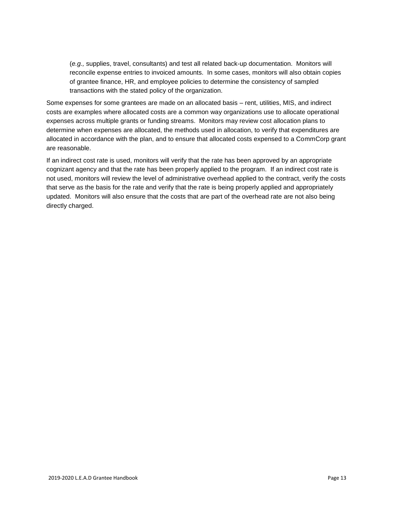(*e.g.,* supplies, travel, consultants) and test all related back-up documentation. Monitors will reconcile expense entries to invoiced amounts. In some cases, monitors will also obtain copies of grantee finance, HR, and employee policies to determine the consistency of sampled transactions with the stated policy of the organization.

Some expenses for some grantees are made on an allocated basis – rent, utilities, MIS, and indirect costs are examples where allocated costs are a common way organizations use to allocate operational expenses across multiple grants or funding streams. Monitors may review cost allocation plans to determine when expenses are allocated, the methods used in allocation, to verify that expenditures are allocated in accordance with the plan, and to ensure that allocated costs expensed to a CommCorp grant are reasonable.

If an indirect cost rate is used, monitors will verify that the rate has been approved by an appropriate cognizant agency and that the rate has been properly applied to the program. If an indirect cost rate is not used, monitors will review the level of administrative overhead applied to the contract, verify the costs that serve as the basis for the rate and verify that the rate is being properly applied and appropriately updated. Monitors will also ensure that the costs that are part of the overhead rate are not also being directly charged.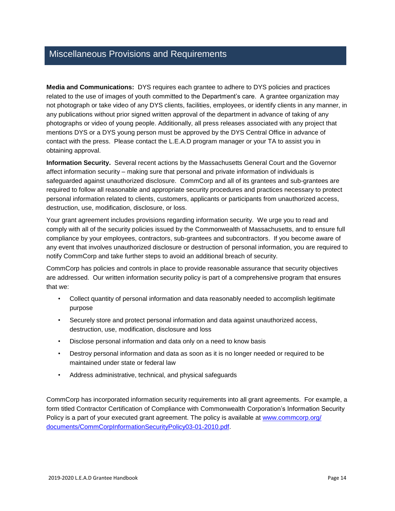## Miscellaneous Provisions and Requirements

**Media and Communications:** DYS requires each grantee to adhere to DYS policies and practices related to the use of images of youth committed to the Department's care. A grantee organization may not photograph or take video of any DYS clients, facilities, employees, or identify clients in any manner, in any publications without prior signed written approval of the department in advance of taking of any photographs or video of young people. Additionally, all press releases associated with any project that mentions DYS or a DYS young person must be approved by the DYS Central Office in advance of contact with the press. Please contact the L.E.A.D program manager or your TA to assist you in obtaining approval.

**Information Security.** Several recent actions by the Massachusetts General Court and the Governor affect information security – making sure that personal and private information of individuals is safeguarded against unauthorized disclosure. CommCorp and all of its grantees and sub-grantees are required to follow all reasonable and appropriate security procedures and practices necessary to protect personal information related to clients, customers, applicants or participants from unauthorized access, destruction, use, modification, disclosure, or loss.

Your grant agreement includes provisions regarding information security. We urge you to read and comply with all of the security policies issued by the Commonwealth of Massachusetts, and to ensure full compliance by your employees, contractors, sub-grantees and subcontractors. If you become aware of any event that involves unauthorized disclosure or destruction of personal information, you are required to notify CommCorp and take further steps to avoid an additional breach of security.

CommCorp has policies and controls in place to provide reasonable assurance that security objectives are addressed. Our written information security policy is part of a comprehensive program that ensures that we:

- Collect quantity of personal information and data reasonably needed to accomplish legitimate purpose
- Securely store and protect personal information and data against unauthorized access, destruction, use, modification, disclosure and loss
- Disclose personal information and data only on a need to know basis
- Destroy personal information and data as soon as it is no longer needed or required to be maintained under state or federal law
- Address administrative, technical, and physical safeguards

CommCorp has incorporated information security requirements into all grant agreements. For example, a form titled Contractor Certification of Compliance with Commonwealth Corporation's Information Security Policy is a part of your executed grant agreement. The policy is available at [www.commcorp.org/](http://www.commcorp.org/%20documents/CommCorpInformationSecurityPolicy03-01-2010.pdf)  [documents/CommCorpInformationSecurityPolicy03-01-2010.pdf.](http://www.commcorp.org/%20documents/CommCorpInformationSecurityPolicy03-01-2010.pdf)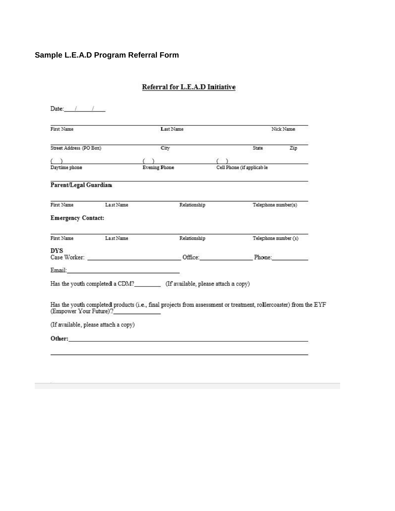## **Sample L.E.A.D Program Referral Form**

| First Name                           |                        | Last Name                                                                                                                                                                                                                      |  |                                                                                         | Nick Name |  |
|--------------------------------------|------------------------|--------------------------------------------------------------------------------------------------------------------------------------------------------------------------------------------------------------------------------|--|-----------------------------------------------------------------------------------------|-----------|--|
| Street Address (PO Box)              |                        | City                                                                                                                                                                                                                           |  | State                                                                                   | Zip       |  |
|                                      |                        |                                                                                                                                                                                                                                |  |                                                                                         |           |  |
| Daytime phone                        |                        | <b>Evening Phone</b>                                                                                                                                                                                                           |  | $\begin{tabular}{ll} ( & ) \\ \hline \textbf{Cell Phone (if applicable)} \end{tabular}$ |           |  |
| Parent/Legal Guardian                |                        |                                                                                                                                                                                                                                |  |                                                                                         |           |  |
| First Name                           | Last Name              | Relationship                                                                                                                                                                                                                   |  | Telephone number(s)                                                                     |           |  |
| <b>Emergency Contact:</b>            |                        |                                                                                                                                                                                                                                |  |                                                                                         |           |  |
| First Name                           | La st Name             | Relationship                                                                                                                                                                                                                   |  | Telephone number (s)                                                                    |           |  |
| <b>DYS</b>                           |                        |                                                                                                                                                                                                                                |  |                                                                                         |           |  |
|                                      |                        |                                                                                                                                                                                                                                |  |                                                                                         |           |  |
|                                      |                        |                                                                                                                                                                                                                                |  |                                                                                         |           |  |
|                                      |                        | Has the youth completed a CDM?___________ (If available, please attach a copy)                                                                                                                                                 |  |                                                                                         |           |  |
|                                      | (Empower Your Future)? | Has the youth completed products (i.e., final projects from assessment or treatment, rollercoaster) from the EYF                                                                                                               |  |                                                                                         |           |  |
| (If available, please attach a copy) |                        |                                                                                                                                                                                                                                |  |                                                                                         |           |  |
|                                      |                        | Other: Contact Contact Contact Contact Contact Contact Contact Contact Contact Contact Contact Contact Contact Contact Contact Contact Contact Contact Contact Contact Contact Contact Contact Contact Contact Contact Contact |  |                                                                                         |           |  |

## Referral for L.E.A.D Initiative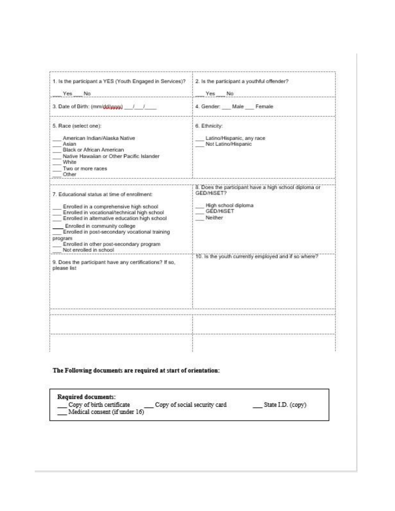| 1. Is the participant a YES (Youth Engaged in Services)?<br>Yes<br>No <sup>-</sup>                                                                                                                                                                                                                                                                                                                                                      | 2. Is the participant a youthful offender?<br>Yes<br>No.                                                                                                                          |
|-----------------------------------------------------------------------------------------------------------------------------------------------------------------------------------------------------------------------------------------------------------------------------------------------------------------------------------------------------------------------------------------------------------------------------------------|-----------------------------------------------------------------------------------------------------------------------------------------------------------------------------------|
| 3. Date of Birth: (mm/dd/yyyy)                                                                                                                                                                                                                                                                                                                                                                                                          | 4. Gender: Male Female                                                                                                                                                            |
| 5. Race (select one):<br>American Indian/Alaska Native<br>Asian<br>Black or African American<br>Native Hawaiian or Other Pacific Islander<br>White<br>Two or more races<br>Other                                                                                                                                                                                                                                                        | 6. Ethnicity:<br>Latino/Hispanic, any race<br>Not Latino/Hispanic                                                                                                                 |
| 7. Educational status at time of enrollment:<br>Enrolled in a comprehensive high school<br>Enrolled in vocational/technical high school<br>Enrolled in alternative education high school<br>Enrolled in community college<br>Enrolled in post-secondary vocational training<br>program<br>Enrolled in other post-secondary program<br>Not enrolled in school.<br>9. Does the participant have any certifications? If so,<br>please list | 8. Does the participant have a high school diploma or<br>GED/HISET?<br>High school diploma<br><b>GED/HISET</b><br>Neither<br>10. Is the youth currently employed and if so where? |
|                                                                                                                                                                                                                                                                                                                                                                                                                                         |                                                                                                                                                                                   |

#### The Following documents are required at start of orientation:

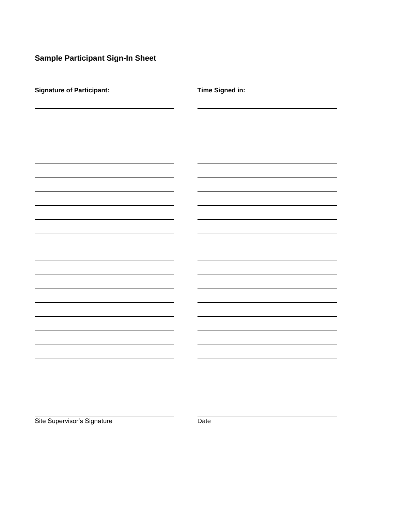## **Sample Participant Sign-In Sheet**

| <b>Signature of Participant:</b> | <b>Time Signed in:</b>   |
|----------------------------------|--------------------------|
|                                  |                          |
|                                  |                          |
|                                  |                          |
|                                  |                          |
|                                  |                          |
|                                  |                          |
|                                  |                          |
|                                  |                          |
|                                  |                          |
|                                  |                          |
|                                  |                          |
|                                  |                          |
|                                  |                          |
|                                  |                          |
|                                  | $\overline{\phantom{a}}$ |
|                                  |                          |

Site Supervisor's Signature Date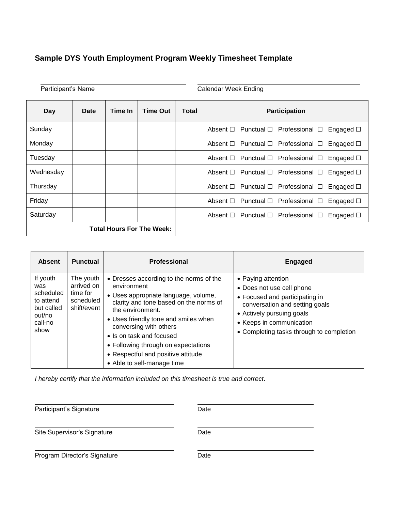## **Sample DYS Youth Employment Program Weekly Timesheet Template**

| Participant's Name<br><b>Calendar Week Ending</b> |      |         |                                  |       |                                                                        |  |  |
|---------------------------------------------------|------|---------|----------------------------------|-------|------------------------------------------------------------------------|--|--|
| Day                                               | Date | Time In | <b>Time Out</b>                  | Total | <b>Participation</b>                                                   |  |  |
| Sunday                                            |      |         |                                  |       | Absent $\Box$ Punctual $\Box$ Professional $\Box$<br>Engaged $\square$ |  |  |
| Monday                                            |      |         |                                  |       | Absent □ Punctual □ Professional □<br>Engaged □                        |  |  |
| Tuesday                                           |      |         |                                  |       | Absent $\Box$ Punctual $\Box$ Professional $\Box$<br>Engaged $\square$ |  |  |
| Wednesday                                         |      |         |                                  |       | Absent $\Box$ Punctual $\Box$ Professional $\Box$<br>Engaged $\square$ |  |  |
| Thursday                                          |      |         |                                  |       | Absent $\Box$ Punctual $\Box$ Professional $\Box$<br>Engaged $\square$ |  |  |
| Friday                                            |      |         |                                  |       | Absent $\Box$ Punctual $\Box$ Professional $\Box$<br>Engaged $\square$ |  |  |
| Saturday                                          |      |         |                                  |       | Absent $\Box$ Punctual $\Box$ Professional $\Box$<br>Engaged $\square$ |  |  |
|                                                   |      |         | <b>Total Hours For The Week:</b> |       |                                                                        |  |  |

| <b>Absent</b>                                                                        | <b>Punctual</b>                                                 | <b>Professional</b>                                                                                                                                                                                                                                                                                                                                                   | <b>Engaged</b>                                                                                                                                                                                                           |
|--------------------------------------------------------------------------------------|-----------------------------------------------------------------|-----------------------------------------------------------------------------------------------------------------------------------------------------------------------------------------------------------------------------------------------------------------------------------------------------------------------------------------------------------------------|--------------------------------------------------------------------------------------------------------------------------------------------------------------------------------------------------------------------------|
| If youth<br>was<br>scheduled<br>to attend<br>but called<br>out/no<br>call-no<br>show | The youth<br>arrived on<br>time for<br>scheduled<br>shift/event | • Dresses according to the norms of the<br>environment<br>• Uses appropriate language, volume,<br>clarity and tone based on the norms of<br>the environment.<br>• Uses friendly tone and smiles when<br>conversing with others<br>• Is on task and focused<br>• Following through on expectations<br>• Respectful and positive attitude<br>• Able to self-manage time | • Paying attention<br>• Does not use cell phone<br>• Focused and participating in<br>conversation and setting goals<br>• Actively pursuing goals<br>• Keeps in communication<br>• Completing tasks through to completion |

*I hereby certify that the information included on this timesheet is true and correct.*

| Participant's Signature      | Date |
|------------------------------|------|
| Site Supervisor's Signature  | Date |
| Program Director's Signature | Date |